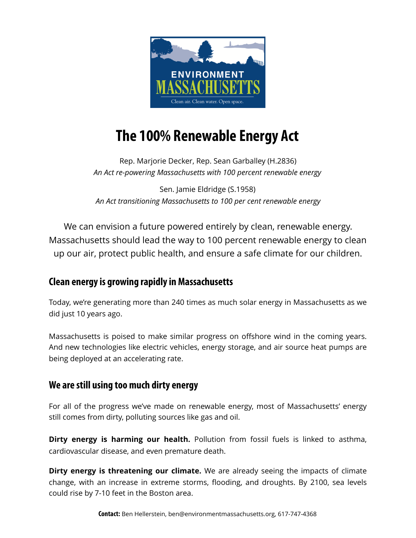

# **The 100% Renewable Energy Act**

Rep. Marjorie Decker, Rep. Sean Garballey (H.2836) *An Act re-powering Massachusetts with 100 percent renewable energy*

Sen. Jamie Eldridge (S.1958) *An Act transitioning Massachusetts to 100 per cent renewable energy*

We can envision a future powered entirely by clean, renewable energy. Massachusetts should lead the way to 100 percent renewable energy to clean up our air, protect public health, and ensure a safe climate for our children.

## **Clean energy is growing rapidly in Massachusetts**

Today, we're generating more than 240 times as much solar energy in Massachusetts as we did just 10 years ago.

Massachusetts is poised to make similar progress on offshore wind in the coming years. And new technologies like electric vehicles, energy storage, and air source heat pumps are being deployed at an accelerating rate.

## **We are still using too much dirty energy**

For all of the progress we've made on renewable energy, most of Massachusetts' energy still comes from dirty, polluting sources like gas and oil.

**Dirty energy is harming our health.** Pollution from fossil fuels is linked to asthma, cardiovascular disease, and even premature death.

**Dirty energy is threatening our climate.** We are already seeing the impacts of climate change, with an increase in extreme storms, flooding, and droughts. By 2100, sea levels could rise by 7-10 feet in the Boston area.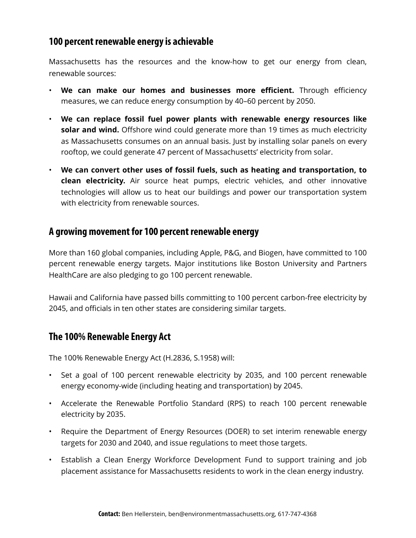### **100 percent renewable energy is achievable**

Massachusetts has the resources and the know-how to get our energy from clean, renewable sources:

- **We can make our homes and businesses more efficient.** Through efficiency measures, we can reduce energy consumption by 40–60 percent by 2050.
- **We can replace fossil fuel power plants with renewable energy resources like solar and wind.** Offshore wind could generate more than 19 times as much electricity as Massachusetts consumes on an annual basis. Just by installing solar panels on every rooftop, we could generate 47 percent of Massachusetts' electricity from solar.
- **We can convert other uses of fossil fuels, such as heating and transportation, to clean electricity.** Air source heat pumps, electric vehicles, and other innovative technologies will allow us to heat our buildings and power our transportation system with electricity from renewable sources.

#### **A growing movement for 100 percent renewable energy**

More than 160 global companies, including Apple, P&G, and Biogen, have committed to 100 percent renewable energy targets. Major institutions like Boston University and Partners HealthCare are also pledging to go 100 percent renewable.

Hawaii and California have passed bills committing to 100 percent carbon-free electricity by 2045, and officials in ten other states are considering similar targets.

#### **The 100% Renewable Energy Act**

The 100% Renewable Energy Act (H.2836, S.1958) will:

- Set a goal of 100 percent renewable electricity by 2035, and 100 percent renewable energy economy-wide (including heating and transportation) by 2045.
- Accelerate the Renewable Portfolio Standard (RPS) to reach 100 percent renewable electricity by 2035.
- Require the Department of Energy Resources (DOER) to set interim renewable energy targets for 2030 and 2040, and issue regulations to meet those targets.
- Establish a Clean Energy Workforce Development Fund to support training and job placement assistance for Massachusetts residents to work in the clean energy industry.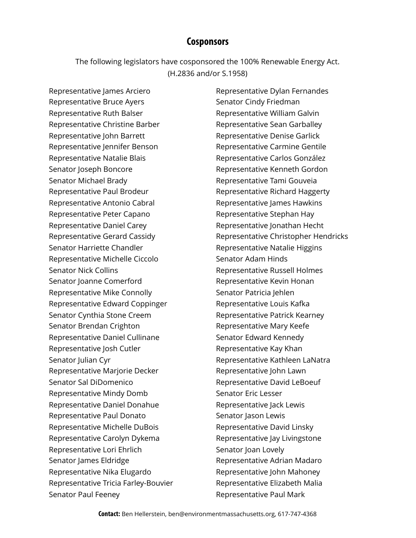#### **Cosponsors**

The following legislators have cosponsored the 100% Renewable Energy Act. (H.2836 and/or S.1958)

Representative James Arciero Representative Bruce Ayers Representative Ruth Balser Representative Christine Barber Representative John Barrett Representative Jennifer Benson Representative Natalie Blais Senator Joseph Boncore Senator Michael Brady Representative Paul Brodeur Representative Antonio Cabral Representative Peter Capano Representative Daniel Carey Representative Gerard Cassidy Senator Harriette Chandler Representative Michelle Ciccolo Senator Nick Collins Senator Joanne Comerford Representative Mike Connolly Representative Edward Coppinger Senator Cynthia Stone Creem Senator Brendan Crighton Representative Daniel Cullinane Representative Josh Cutler Senator Julian Cyr Representative Marjorie Decker Senator Sal DiDomenico Representative Mindy Domb Representative Daniel Donahue Representative Paul Donato Representative Michelle DuBois Representative Carolyn Dykema Representative Lori Ehrlich Senator James Eldridge Representative Nika Elugardo Representative Tricia Farley-Bouvier Senator Paul Feeney

Representative Dylan Fernandes Senator Cindy Friedman Representative William Galvin Representative Sean Garballey Representative Denise Garlick Representative Carmine Gentile Representative Carlos González Representative Kenneth Gordon Representative Tami Gouveia Representative Richard Haggerty Representative James Hawkins Representative Stephan Hay Representative Jonathan Hecht Representative Christopher Hendricks Representative Natalie Higgins Senator Adam Hinds Representative Russell Holmes Representative Kevin Honan Senator Patricia Jehlen Representative Louis Kafka Representative Patrick Kearney Representative Mary Keefe Senator Edward Kennedy Representative Kay Khan Representative Kathleen LaNatra Representative John Lawn Representative David LeBoeuf Senator Eric Lesser Representative Jack Lewis Senator Jason Lewis Representative David Linsky Representative Jay Livingstone Senator Joan Lovely Representative Adrian Madaro Representative John Mahoney Representative Elizabeth Malia Representative Paul Mark